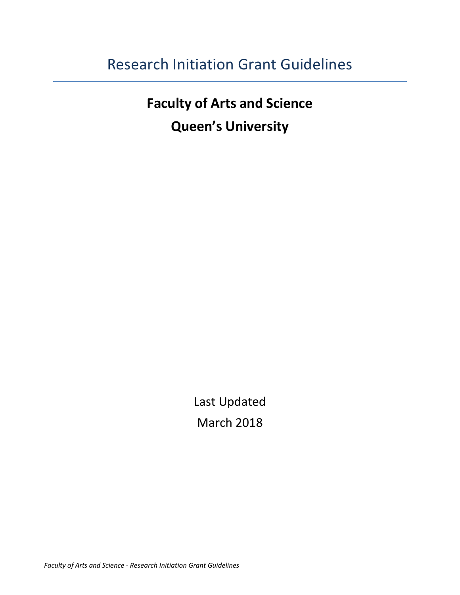# Research Initiation Grant Guidelines

**Faculty of Arts and Science Queen's University**

> Last Updated March 2018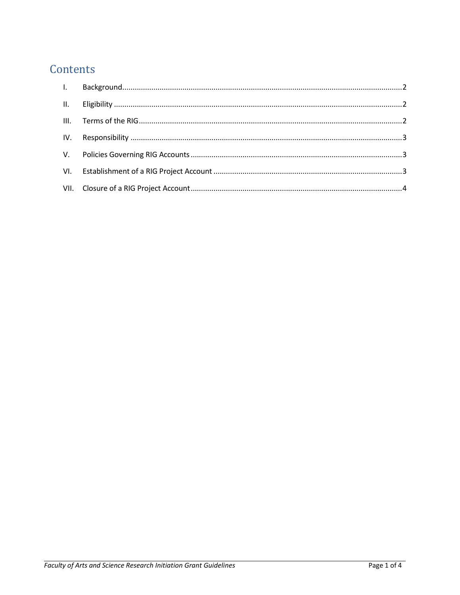# Contents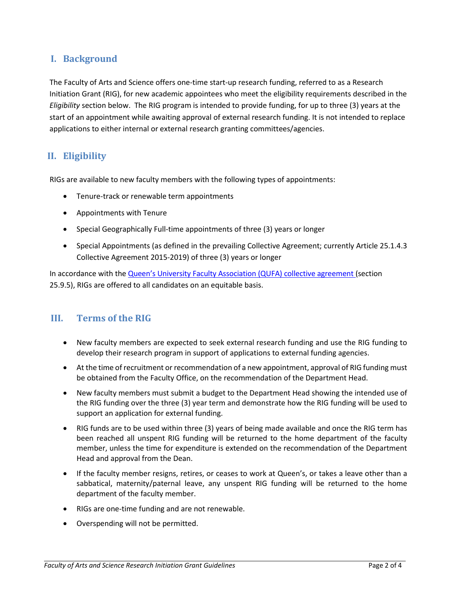# <span id="page-2-0"></span>**I. Background**

The Faculty of Arts and Science offers one-time start-up research funding, referred to as a Research Initiation Grant (RIG), for new academic appointees who meet the eligibility requirements described in the *Eligibility* section below. The RIG program is intended to provide funding, for up to three (3) years at the start of an appointment while awaiting approval of external research funding. It is not intended to replace applications to either internal or external research granting committees/agencies.

# <span id="page-2-1"></span>**II. Eligibility**

RIGs are available to new faculty members with the following types of appointments:

- Tenure-track or renewable term appointments
- Appointments with Tenure
- Special Geographically Full-time appointments of three (3) years or longer
- Special Appointments (as defined in the prevailing Collective Agreement; currently Article 25.1.4.3 Collective Agreement 2015-2019) of three (3) years or longer

In accordance with th[e Queen's University Faculty Association \(QUFA\) collective agreement](http://qufa.ca/collective-agreement/) (section 25.9.5), RIGs are offered to all candidates on an equitable basis.

#### <span id="page-2-2"></span>**III. Terms of the RIG**

- New faculty members are expected to seek external research funding and use the RIG funding to develop their research program in support of applications to external funding agencies.
- At the time of recruitment or recommendation of a new appointment, approval of RIG funding must be obtained from the Faculty Office, on the recommendation of the Department Head.
- New faculty members must submit a budget to the Department Head showing the intended use of the RIG funding over the three (3) year term and demonstrate how the RIG funding will be used to support an application for external funding.
- RIG funds are to be used within three (3) years of being made available and once the RIG term has been reached all unspent RIG funding will be returned to the home department of the faculty member, unless the time for expenditure is extended on the recommendation of the Department Head and approval from the Dean.
- If the faculty member resigns, retires, or ceases to work at Queen's, or takes a leave other than a sabbatical, maternity/paternal leave, any unspent RIG funding will be returned to the home department of the faculty member.
- RIGs are one-time funding and are not renewable.
- Overspending will not be permitted.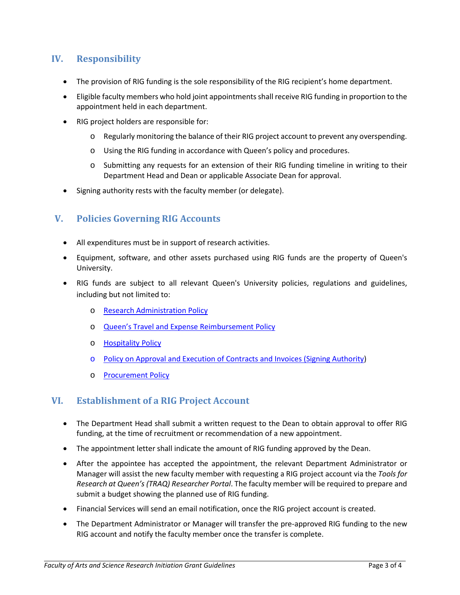# <span id="page-3-0"></span>**IV. Responsibility**

- The provision of RIG funding is the sole responsibility of the RIG recipient's home department.
- Eligible faculty members who hold joint appointments shall receive RIG funding in proportion to the appointment held in each department.
- RIG project holders are responsible for:
	- o Regularly monitoring the balance of their RIG project account to prevent any overspending.
	- o Using the RIG funding in accordance with Queen's policy and procedures.
	- o Submitting any requests for an extension of their RIG funding timeline in writing to their Department Head and Dean or applicable Associate Dean for approval.
- Signing authority rests with the faculty member (or delegate).

## <span id="page-3-1"></span>**V. Policies Governing RIG Accounts**

- All expenditures must be in support of research activities.
- Equipment, software, and other assets purchased using RIG funds are the property of Queen's University.
- RIG funds are subject to all relevant Queen's University policies, regulations and guidelines, including but not limited to:
	- o [Research Administration Policy](http://www.queensu.ca/secretariat/policies/research-policies/research-administration-policy)
	- o [Queen's Travel and Expense Reimbursement Policy](http://www.queensu.ca/secretariat/sites/webpublish.queensu.ca.uslcwww/files/files/policies/Travel%20and%20Expense%20Reimbursement%20Policy%20Mar2017v3.pdf)
	- o [Hospitality Policy](http://www.queensu.ca/secretariat/policies/finance/hospitality)
	- o [Policy on Approval and Execution of Contracts and Invoices \(Signing Authority\)](http://www.queensu.ca/secretariat/policies/board-policies/policy-approval-and-execution-contracts-and-invoices)
	- o [Procurement Policy](http://www.queensu.ca/secretariat/policies/finance/procurement)

## <span id="page-3-2"></span>**VI. Establishment of a RIG Project Account**

- The Department Head shall submit a written request to the Dean to obtain approval to offer RIG funding, at the time of recruitment or recommendation of a new appointment.
- The appointment letter shall indicate the amount of RIG funding approved by the Dean.
- After the appointee has accepted the appointment, the relevant Department Administrator or Manager will assist the new faculty member with requesting a RIG project account via the *Tools for Research at Queen's (TRAQ) Researcher Portal*. The faculty member will be required to prepare and submit a budget showing the planned use of RIG funding.
- Financial Services will send an email notification, once the RIG project account is created.
- The Department Administrator or Manager will transfer the pre-approved RIG funding to the new RIG account and notify the faculty member once the transfer is complete.